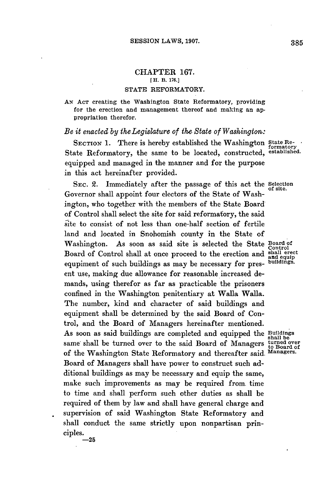## CHAPTER **167. [H. B. 176.] STATE** REFORMATORY.

**AN AcT** creating the Washington State Reformatory, providing for the erection and management thereof and making an appropriation therefor.

## *Be it enacted by the Legislature of the State of Washington:*

**SECTION 1.** There is hereby established the Washington State Re-State Reformatory, the same to be located, constructed, **established.** equipped and managed in the manner and for the purpose in this act hereinafter provided.

SEC. 2. Immediately after the passage of this act the Selection Governor shall appoint four electors of the State of Washington, who together with the members of the State Board of Control shall select the site for said reformatory, the said site to consist of not less than one-half section of fertile land and located in Snohomish county in the State of Washington. As soon as said site is selected the State **Board of Control** Board of Control shall at once proceed to the erection and shall erect equipment of such buildings as may be pecessary for press buildings. equpiment of such buildings as may be necessary for pres- **buildings.** ent use, making due allowance for reasonable increased demands, using therefor as far as practicable the prisoners confined in the Washington penitentiary at Walla Walla. The number, kind and character of said buildings and equipment shall be determined **by** the said Board of Control, and the Board of Managers hereinafter mentioned. As soon as said buildings are completed and equipped the Buildings same shall be turned over to the said Board of Managers turned over<br>of the Washington State Beformatory and thereafter said Managers. of the Washington State Reformatory and thereafter said. Board of Managers shall have power to construct such additional buildings as may be necessary and equip the same, make such improvements as may be required from. time to time and shall perform such other duties as shall be required of them **by** law and shall have general charge and supervision of said Washington State Reformatory and shall conduct the same strictly upon nonpartisan principles.

**-25**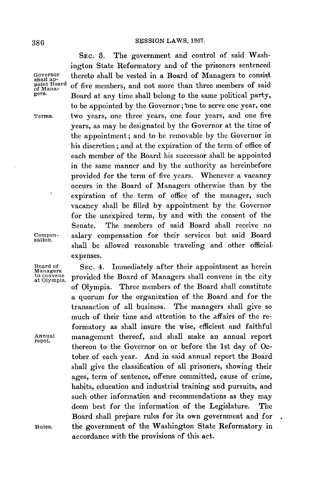SEC. **3.** The government and control of said Washington State Reformatory and of the prisoners sentenced Governor thereto shall be vested in a Board of Managers to consist<br>shall ap-<br>point Board of five members and not more than three members of said shall ap-<br>point Board<br>of Mana-<br>of Mana- of five members, and not more than three members of said <sub>of Mana</sub>. Board at any time shall belong to the same political party,<br>gers. Board at any time shall belong to the same political party, to be appointed by the Governor; one to serve one year, one Terms. two years, one three years, one four years, and one five years, as may be designated **by** the Governor at the time of the appointment; and to be removable **by** the Governor in his discretion; and at the expiration of the term of office of each member of the Board his successor shall be appointed in the same manner and **by** the authority as hereinbefore provided for the term of five years. Whenever a vacancy occurs in the Board of Managers otherwise than **by** the expiration of the term of office of the manager, such vacancy shall be filled **by** appointment **by** the Governor for the unexpired term, **by** and with the consent of the Senate. The members of said Board shall receive no Compen- salary compensation for their services but said Board shall be allowed reasonable traveling and other official, expenses.

Board of **SEC.** 4. Immediately after their appointment as herein to convene. provided the Board of Managers shall convene in the city of Olympia. Three members of the Board shall constitute a quorum for the organization of the Board and for the transaction of all business. The managers shall give so much of their time and attention to the affairs of the reformatory as shall insure the wise, efficient and faithful Annual management thereof, and shall make an annual report thereon to the Governor on or before the 1st day of **Oc**tober of each year. And in said annual report the Board shall give the classification of all prisoners, showing their ages, term of sentence, offense committed, cause of crime, habits, education and industrial training and pursuits, and such other information and recommendations as they may deem best for the information of the Legislature. The Board shall prepare rules for its own government and for Rules. the government of the Washington State Reformatory in accordance with the provisions **of** this act.

sation.

Managers<br>to convene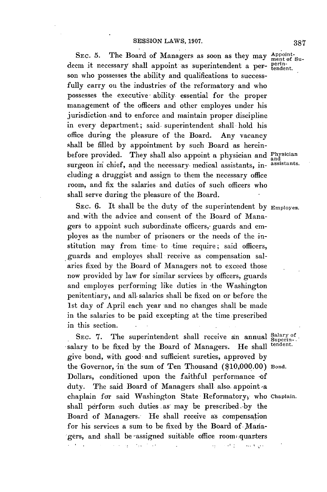SEC. 5. The Board of Managers as soon as they may Appointdeem it necessary shall appoint as superintendent a per- perinson who possesses the ability and qualifications to successfully carry on the industries of the reformatory and who possesses the executive ability essential for the proper management of the officers and other employes under his jurisdiction -and to enforce and maintain proper discipline in every department; said. superintendent shall hold his office during the pleasure of the Board. Any vacancy shall be filled **by** appointment **by** such Board as hereinbefore provided. They shall also appoint a physician and Physician surgeon in chief, and the necessary medical assistants, in-assistants. cluding a druggist and assign to them the necessary office room, and fix the salaries and duties of such officers who shall serve during the pleasure of the Board.

**SEC. 6.** It shall be the duty of the superintendent **by** Employes. and.with the advice and consent of the Board of Managers to appoint such subordinate officers, guards and employes as the number of prisoners or the needs of the institution may from time to time require; said officers, guards and employes shall receive as compensation salaries fixed by the Board of Managers not to exceed those now provided **by** law for similar services **by** officers, guards and employes performing like duties in ithe Washington penitentiary, and all, salaries shall be fixed on or before the 1st day of April each year and no changes shall be made in the salaries to be paid excepting at the time prescribed in this section.

SEC. 7. The superintendent shall receive an annual Salary of Superinsalary to be fixed by the Board of Managers. He shall give bond, with good and sufficient sureties, approved **by** the Governor, in the sum of Ten Thousand **(\$10,000.00)** Bond. Dollars, conditioned upon the faithful performance **-of** duty. The said Board of Managers shall also appoint a chaplain for said Washington State Reformatory, who Chaplain. shall perform -such duties **.as** may be prescribed. **-by** the Board of Managers. He shall receive as compensation for his services a sum to be fixed by the Board of Managers, and shall be -assigned suitable office rooms quarters $\sim$  100  $\sim$ and the state of the  $\mathbb{R}^2$  $\mathcal{L}_{\mathcal{A}}$  , and  $\mathcal{L}_{\mathcal{A}}$  , and  $\mathcal{L}_{\mathcal{A}}$ المتوافق والمتوازن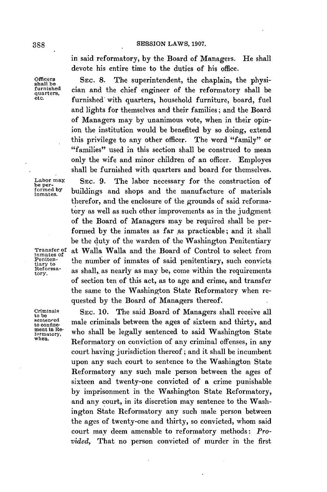in said reformatory, **by** the Board of Managers. He shall devote his entire time to the duties of his office.

Officers SEC. 8. The superintendent, the chaplain, the physi-<br>shall be shall clien and the chief engineer of the reformatory shall be furnished cian and the chief engineer of the reformatory shall be quarters, furnished with quarters, household furniture, board, fuel and lights for themselves and their families; and the Board of Managers may **by** unanimous vote, when in their opinion the institution would be benefited **by** so doing, extend this privilege to any other officer. The word "family" or "families" used in this section shall be construed to mean only the wife and minor children of an officer. Employes shall be furnished with quarters and board for themselves. Labor may SEC. 9. The labor necessary for the construction of<br>be per-<br>formed by buildings and shops and the manufacture of materials formed by buildings and shops and the manufacture of materials therefor, and the enclosure of the grounds of said reformatory as well as such other improvements as in the judgment of the Board of Managers may be required shall be performed by the inmates as far as practicable; and it shall be the duty of the warden of the Washington Penitentiary Transfer of at Walla Walla and the Board of Control to select from<br>
Peniten-<br>
Peniten-<br> **Peniten-**<br> **Control** Peniten-<br>tiary to the number of inmates of said penitentiary, such convicts<br> $Reforma-$  as shall as nearly as may be come within the requirements Reforma- as shall, as nearly as may be, come within the requirements of section ten of this act, as to age and crime, and transfer the same to the Washington State Reformatory when requested **by** the Board of Managers thereof.

Criminals **SEC. 10.** The said Board of Managers shall receive all the beams of sixteen and thirty and sentenced male criminals between the ages of sixteen and thirty, and the continue-<br>ment in Re-who shall be lagelly contanged to said Weshington State ment in Re-<br>formatory, who shall be legally sentenced to said Washington State<br>when Reformatory on conviction of any criminal offenses, in any court having jurisdiction thereof **;** and it shall be incumbent upon any such court to sentence to the Washington State Reformatory any such male person between the ages of sixteen and twenty-one convicted of a crime punishable **by** imprisonment in the Washington State Reformatory, and any court, in its discretion may sentence to the Washington State Reformatory any such male person between the ages of twenty-one and thirty, so convicted, whom said court may deem amenable to reformatory methods: *Provided,* That no person convicted of murder in the first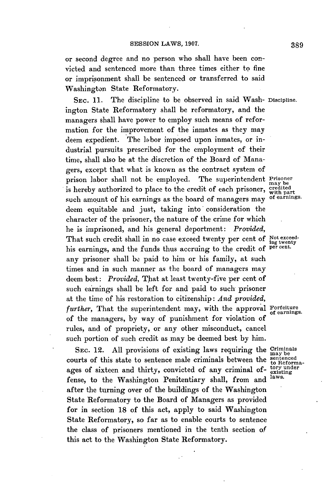or second degree and no person who shall have been convicted and sentenced more than three times either to fine or imprisonment shall be sentenced or transferred to said Washington State Reformatory.

**SEC. 11.** The discipline to be observed in said Wash- Discipline. ington State Reformatory shall be reformatory, and the managers shall have power to employ such means of reformation for the improvement of the inmates as they may deem expedient. The labor imposed upon inmates, or industrial pursuits prescribed for the employment of their time, shall also be at the discretion of the Board of Managers, except that what is known as the contract system of prison labor shall not be employed. The superintendent Prisoner prison hand shall not be employed. The superimentement  $\frac{marg}{marg}$  is hereby authorized to place to the credit of each prisoner, with part such amount of his earnings as the board of managers may **of** earnings. deem equitable and just, taking into consideration the character of the prisoner, the nature of the crime for which he is imprisoned, and his general deportment: *Provided,* That such credit shall in no case exceed twenty per cent of Not exceed-<br>his cornings, and the funds thus economic to the excelit of percent. his earnings, and the funds thus accruing to the credit of any prisoner shall be paid to him or his family, at such times and in such manner as the board of managers may deem best: *Provided*, That at least twenty-five per cent of such earnings shall be left for and paid to such prisoner at the time of his restoration to citizenship: *And provided,* further, That the superintendent may, with the approval Forfeiture of the managers, **by** way of punishment for violation of rules, and of propriety, or any other misconduct, cancel such portion of such credit as may be deemed best **by** him.

**SEC.** 12. **All** provisions of existing laws requiring the Criminals sec. 12. All provisions of existing laws requiring the  $\frac{max_{\text{best}}}{max_{\text{best}}}}$ ages of sixteen and thirty, convicted of any criminal of- $_{\text{existing}}^{\text{tory under}}$ fense, to the Washington Penitentiary shall, from and after the turning over of the buildings of the Washington State Reformatory to the Board of Managers as provided for in section **18** of this act, apply to said Washington State Reformatory, so far as to enable courts to sentence the class of prisoners mentioned in the tenth section of this act to the Washington State Reformatory.

**of** earnings.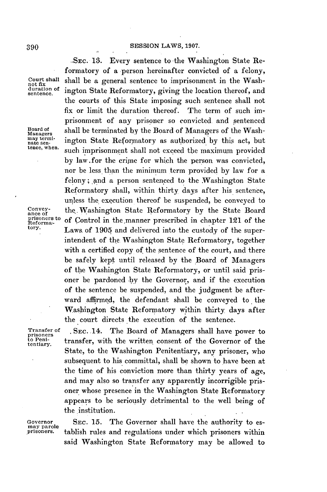## **-SEC. 13.** Every sentence to the Washington State Re-**SESSION** LAWS, **1907. 390**

Board of Managers<br>may terminate sen-

formatory of a person hereinafter convicted of a felony, Court shall shall be a general sentence to imprisonment in the Washnot fix<br>
duration of ington State Beformatory giving the location thereof, and duration of ington State Reformatory, giving the location thereof, and the courts of this State imposing such sentence shall not fix or limit the duration thereof. The term of such imprisonment of any prisoner so convicted and sentenced shall be terminated by the Board of Managers of the Washmay termington State Reformatory as authorized by this act, but<br>nate sen-<br>tence, when such immediated that are added the maximum numided such imprisonment shall not exceed the maximum provided **by** law.for the crime for which the person was convicted, nor be less than the minimum term provided **by** law for a felony; and a person sentenced to the Washington State Reformatory shall, within thirty days after his sentence, unless the execution thereof be suspended, be conveyed to Convey-<br>ance of the Washington State Reformatory by the State Board<br>prisoners to of Control in the manner prescribed in chapter 121 of the prisoners to of Control in the manner prescribed in chapter 121 of the tors.<br>Reformance  $\mathbf{L}$  and  $\mathbf{L}$  and delivered into the protector of the summer Laws of 1905 and delivered into the custody of the superintendent of the Washington State Reformatory, together with a certified copy of the sentence of the court, and there be safely kept until released **by** the Board of Managers of the Washington State Reformatory, or until said prisoner be pardoned **by** the Governor, and if the execution of the sentence be suspended, and the judgment be afterward affirmed, the defendant shall be conveyed to the Washington State Reformatory within thirty days after the court directs the execution of the sentence.

Transfer of **, SEC. 14.** The Board of Managers shall have power to prisoners<br>to Peni-<br>transfer with the written consent of the Governor of the to Peni-<br>tentiary. transfer, with the written consent of the Governor of the State, to the Washington Penitentiary, any prisoner, who subsequent to his committal, shall be shown to have been at the time of his conviction more than thirty years of age, and may also so transfer any apparently incorrigible prisoner whose presence in the Washington State Reformatory appears to be seriously detrimental to the well being of the institution.

Governor **SEC. 15.** The Governor shall have the authority to esprisoners. tablish rules and regulations under which prisoners within said Washington State Reformatory may be allowed to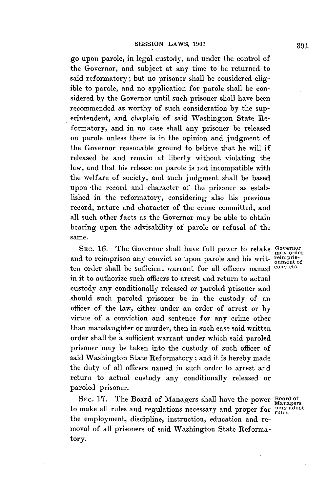go upon parole, in legal custody, and under the control of the Governor, and subject at any time to be returned to said reformatory; but no prisoner shall be considered eligible to parole, and no application for parole shall be considered **by** the Governor until such prisoner shall have been recommended as worthy of such consideration **by** the superintendent, and chaplain of said Washington State Reformatory, and in no case shall any prisoner be released on parole unless there is in the opinion and judgment of the Governor reasonable ground to believe that he will if released be and remain at liberty without violating the law, and that his release on parole is not incompatible with the welfare of society, and such judgment shall be based upon the record and character of the prisoner as established in the reformatory, considering also his previous record, nature and character of the crime committed, and all such other facts as the Governor may be able to obtain bearing upon the advisability of parole or refusal of the same.

**SEC. 16.** The Governor shall have full power to retake Governor and to reimprison any convict so upon parole and his writ-reimpris-<br>ten order shall be sufficient warrant for all officers named convicts. ten order shall be sufficient warrant for all officers named in it to authorize such officers to arrest and return to actual custody any conditionally released or paroled prisoner and should such paroled prisoner be in the custody of an officer of the law, either under an order of arrest or **by** virtue of a conviction and sentence for any crime other than manslaughter or murder, then in such case said written order shall be a sufficient warrant under which said paroled prisoner may be taken into the custody of such officer of said Washington State Reformatory; and it is hereby made the duty of all officers named in such order to arrest and return to actual custody any conditionally released or paroled prisoner.

SEC. 17. The Board of Managers shall have the power Board of to make all rules and regulations necessary and proper for may adopt the employment, discipline, instruction, education and removal of all prisoners of said Washington State Reformatory.

may order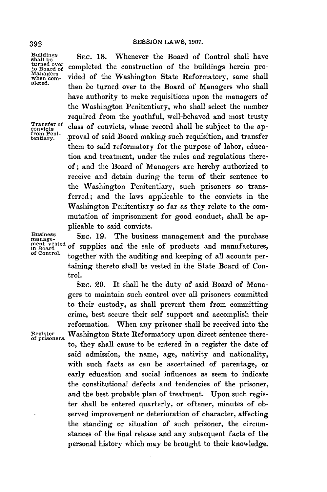Buildings **SEC. 18.** Whenever the Board of Control shall have shall be somewheted the control of the buildings have an and turned over  $\frac{1}{2}$  completed the construction of the buildings herein pro-<br>Managers  $\frac{1}{2}$  is the Weslington State Beformatory came shall Managers vided of the Washington State Reformatory, same shall then be turned over to the Board of Managers who shall have authority to make requisitions upon the managers of the Washington Penitentiary, who shall select the number required from the youthful, well-behaved and most trusty Transfer of class of convicts, whose record shall be subject to the ap-<br>from Peni-<br>tentiary. proval of said Board making such requisition, and transfer proval of said Board making such requisition, and transfer them to said reformatory for the purpose of labor, education and treatment, under the rules and regulations thereof; and the Board of Managers are hereby authorized to receive and detain during the term of their sentence to the Washington Penitentiary, such prisoners so transferred; and the laws applicable to the convicts in the Washington Penitentiary so far as they relate to the commutation of imprisonment for good conduct, shall be applicable to said convicts.

Business SEC. 19. The business management and the purchase ment vested of supplies and the sale of products and manufactures, together with the auditing and keeping of all acounts pertaining thereto shall be vested in the State Board of Control.

SEC. *20.* It shall be the duty of said Board of Managers to maintain such control over all prisoners committed to their custody, as shall prevent them from committing crime, best secure their self support and accomplish their reformation. When any prisoner shall be received into the Register Washington State Reformatory upon direct sentence thereto, they shall cause to be entered in a register the date of said admission, the name, age, nativity and nationality, with such facts as can be ascertained of parentage, or early education and social influences as seem to indicate the constitutional defects and tendencies of the prisoner, and the best probable plan of treatment. Upon such register shall be entered quarterly, or oftener, minutes of observed improvement or deterioration of character, affecting the standing or situation of such prisoner, the circumstances of the final release and any subsequent facts of the personal history which may be brought to their knowledge.